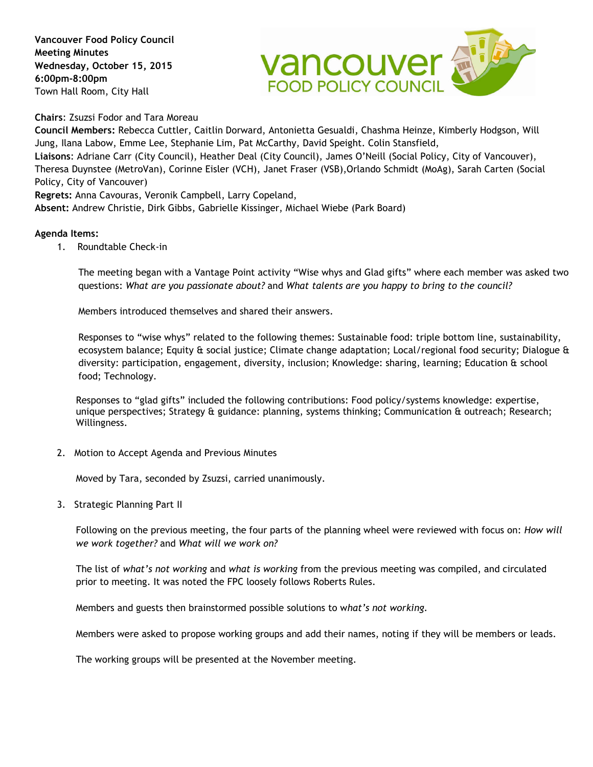**Vancouver Food Policy Council Meeting Minutes Wednesday, October 15, 2015 6:00pm-8:00pm** Town Hall Room, City Hall



**Chairs**: Zsuzsi Fodor and Tara Moreau

**Council Members:** Rebecca Cuttler, Caitlin Dorward, Antonietta Gesualdi, Chashma Heinze, Kimberly Hodgson, Will Jung, Ilana Labow, Emme Lee, Stephanie Lim, Pat McCarthy, David Speight. Colin Stansfield,

**Liaisons**: Adriane Carr (City Council), Heather Deal (City Council), James O'Neill (Social Policy, City of Vancouver), Theresa Duynstee (MetroVan), Corinne Eisler (VCH), Janet Fraser (VSB),Orlando Schmidt (MoAg), Sarah Carten (Social Policy, City of Vancouver)

**Regrets:** Anna Cavouras, Veronik Campbell, Larry Copeland,

**Absent:** Andrew Christie, Dirk Gibbs, Gabrielle Kissinger, Michael Wiebe (Park Board)

#### **Agenda Items:**

1. Roundtable Check-in

The meeting began with a Vantage Point activity "Wise whys and Glad gifts" where each member was asked two questions: *What are you passionate about?* and *What talents are you happy to bring to the council?*

Members introduced themselves and shared their answers.

Responses to "wise whys" related to the following themes: Sustainable food: triple bottom line, sustainability, ecosystem balance; Equity & social justice; Climate change adaptation; Local/regional food security; Dialogue & diversity: participation, engagement, diversity, inclusion; Knowledge: sharing, learning; Education & school food; Technology.

Responses to "glad gifts" included the following contributions: Food policy/systems knowledge: expertise, unique perspectives; Strategy & guidance: planning, systems thinking; Communication & outreach; Research; Willingness.

2. Motion to Accept Agenda and Previous Minutes

Moved by Tara, seconded by Zsuzsi, carried unanimously.

3. Strategic Planning Part II

Following on the previous meeting, the four parts of the planning wheel were reviewed with focus on: *How will we work together?* and *What will we work on?*

The list of *what's not working* and *what is working* from the previous meeting was compiled, and circulated prior to meeting. It was noted the FPC loosely follows Roberts Rules.

Members and guests then brainstormed possible solutions to w*hat's not working.*

Members were asked to propose working groups and add their names, noting if they will be members or leads.

The working groups will be presented at the November meeting.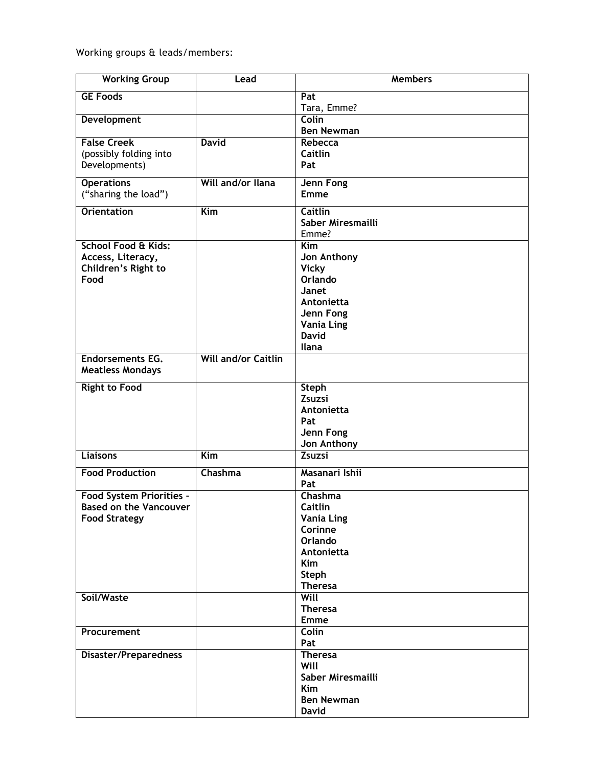Working groups & leads/members:

| <b>Working Group</b>                               | Lead                       | <b>Members</b>                  |
|----------------------------------------------------|----------------------------|---------------------------------|
| <b>GE Foods</b>                                    |                            | Pat                             |
|                                                    |                            | Tara, Emme?                     |
| Development                                        |                            | <b>Colin</b>                    |
|                                                    |                            | <b>Ben Newman</b>               |
| <b>False Creek</b>                                 | <b>David</b>               | Rebecca                         |
| (possibly folding into                             |                            | Caitlin                         |
| Developments)                                      |                            | Pat                             |
| <b>Operations</b>                                  | Will and/or Ilana          | Jenn Fong                       |
| ("sharing the load")                               |                            | <b>Emme</b>                     |
|                                                    |                            |                                 |
| <b>Orientation</b>                                 | $\overline{\text{Kim}}$    | <b>Caitlin</b>                  |
|                                                    |                            | Saber Miresmailli<br>Emme?      |
| <b>School Food &amp; Kids:</b>                     |                            | $\overline{Kim}$                |
| Access, Literacy,                                  |                            | Jon Anthony                     |
| Children's Right to                                |                            | <b>Vicky</b>                    |
| Food                                               |                            | Orlando                         |
|                                                    |                            | Janet                           |
|                                                    |                            | Antonietta                      |
|                                                    |                            | Jenn Fong                       |
|                                                    |                            | <b>Vania Ling</b>               |
|                                                    |                            | <b>David</b>                    |
|                                                    |                            | Ilana                           |
| <b>Endorsements EG.</b><br><b>Meatless Mondays</b> | <b>Will and/or Caitlin</b> |                                 |
| <b>Right to Food</b>                               |                            | <b>Steph</b>                    |
|                                                    |                            | Zsuzsi                          |
|                                                    |                            | Antonietta                      |
|                                                    |                            | Pat                             |
|                                                    |                            | Jenn Fong                       |
|                                                    |                            | Jon Anthony                     |
| <b>Liaisons</b>                                    | $\overline{\text{Kim}}$    | Zsuzsi                          |
| <b>Food Production</b>                             | Chashma                    | Masanari Ishii                  |
|                                                    |                            | Pat                             |
| <b>Food System Priorities -</b>                    |                            | Chashma                         |
| <b>Based on the Vancouver</b>                      |                            | Caitlin                         |
| <b>Food Strategy</b>                               |                            | <b>Vania Ling</b>               |
|                                                    |                            | Corinne<br>Orlando              |
|                                                    |                            | Antonietta                      |
|                                                    |                            | Kim                             |
|                                                    |                            | Steph                           |
|                                                    |                            | <b>Theresa</b>                  |
| Soil/Waste                                         |                            | Will                            |
|                                                    |                            | <b>Theresa</b>                  |
|                                                    |                            | Emme                            |
| Procurement                                        |                            | Colin                           |
|                                                    |                            | Pat                             |
| <b>Disaster/Preparedness</b>                       |                            | <b>Theresa</b>                  |
|                                                    |                            | Will                            |
|                                                    |                            | Saber Miresmailli<br><b>Kim</b> |
|                                                    |                            | <b>Ben Newman</b>               |
|                                                    |                            | <b>David</b>                    |
|                                                    |                            |                                 |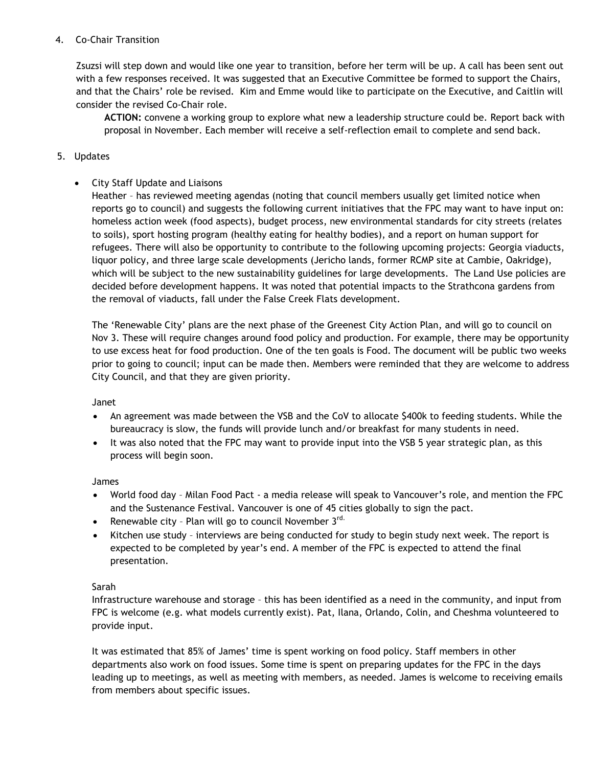## 4. Co-Chair Transition

Zsuzsi will step down and would like one year to transition, before her term will be up. A call has been sent out with a few responses received. It was suggested that an Executive Committee be formed to support the Chairs, and that the Chairs' role be revised. Kim and Emme would like to participate on the Executive, and Caitlin will consider the revised Co-Chair role.

**ACTION:** convene a working group to explore what new a leadership structure could be. Report back with proposal in November. Each member will receive a self-reflection email to complete and send back.

### 5. Updates

# • City Staff Update and Liaisons

Heather – has reviewed meeting agendas (noting that council members usually get limited notice when reports go to council) and suggests the following current initiatives that the FPC may want to have input on: homeless action week (food aspects), budget process, new environmental standards for city streets (relates to soils), sport hosting program (healthy eating for healthy bodies), and a report on human support for refugees. There will also be opportunity to contribute to the following upcoming projects: Georgia viaducts, liquor policy, and three large scale developments (Jericho lands, former RCMP site at Cambie, Oakridge), which will be subject to the new sustainability guidelines for large developments. The Land Use policies are decided before development happens. It was noted that potential impacts to the Strathcona gardens from the removal of viaducts, fall under the False Creek Flats development.

The 'Renewable City' plans are the next phase of the Greenest City Action Plan, and will go to council on Nov 3. These will require changes around food policy and production. For example, there may be opportunity to use excess heat for food production. One of the ten goals is Food. The document will be public two weeks prior to going to council; input can be made then. Members were reminded that they are welcome to address City Council, and that they are given priority.

### Janet

- An agreement was made between the VSB and the CoV to allocate \$400k to feeding students. While the bureaucracy is slow, the funds will provide lunch and/or breakfast for many students in need.
- It was also noted that the FPC may want to provide input into the VSB 5 year strategic plan, as this process will begin soon.

### James

- World food day Milan Food Pact a media release will speak to Vancouver's role, and mention the FPC and the Sustenance Festival. Vancouver is one of 45 cities globally to sign the pact.
- Renewable city Plan will go to council November  $3^{rd}$ .
- Kitchen use study interviews are being conducted for study to begin study next week. The report is expected to be completed by year's end. A member of the FPC is expected to attend the final presentation.

### Sarah

Infrastructure warehouse and storage – this has been identified as a need in the community, and input from FPC is welcome (e.g. what models currently exist). Pat, Ilana, Orlando, Colin, and Cheshma volunteered to provide input.

It was estimated that 85% of James' time is spent working on food policy. Staff members in other departments also work on food issues. Some time is spent on preparing updates for the FPC in the days leading up to meetings, as well as meeting with members, as needed. James is welcome to receiving emails from members about specific issues.